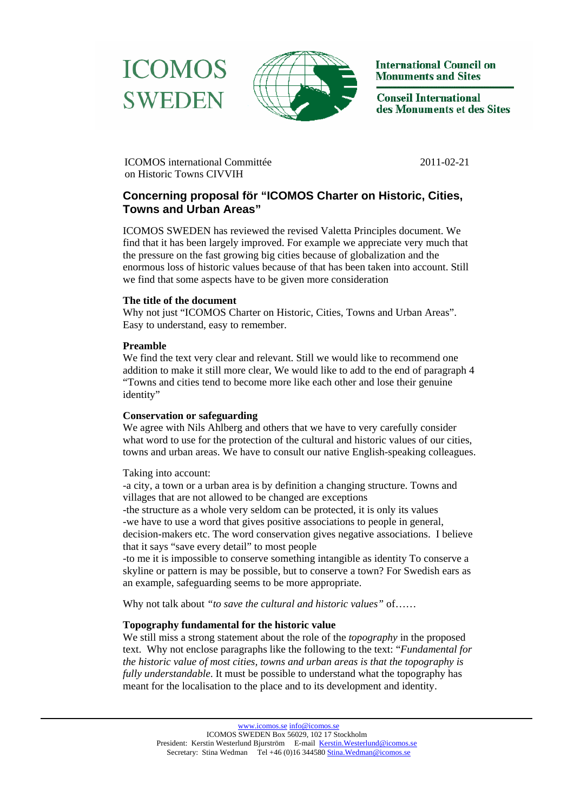



**International Council on Monuments and Sites** 

**Conseil International** des Monuments et des Sites

 ICOMOS international Committée 2011-02-21 on Historic Towns CIVVIH

# **Concerning proposal för "ICOMOS Charter on Historic, Cities, Towns and Urban Areas"**

ICOMOS SWEDEN has reviewed the revised Valetta Principles document. We find that it has been largely improved. For example we appreciate very much that the pressure on the fast growing big cities because of globalization and the enormous loss of historic values because of that has been taken into account. Still we find that some aspects have to be given more consideration

# **The title of the document**

Why not just "ICOMOS Charter on Historic, Cities, Towns and Urban Areas". Easy to understand, easy to remember.

### **Preamble**

We find the text very clear and relevant. Still we would like to recommend one addition to make it still more clear, We would like to add to the end of paragraph 4 "Towns and cities tend to become more like each other and lose their genuine identity"

### **Conservation or safeguarding**

We agree with Nils Ahlberg and others that we have to very carefully consider what word to use for the protection of the cultural and historic values of our cities, towns and urban areas. We have to consult our native English-speaking colleagues.

Taking into account:

-a city, a town or a urban area is by definition a changing structure. Towns and villages that are not allowed to be changed are exceptions -the structure as a whole very seldom can be protected, it is only its values -we have to use a word that gives positive associations to people in general, decision-makers etc. The word conservation gives negative associations. I believe that it says "save every detail" to most people

-to me it is impossible to conserve something intangible as identity To conserve a skyline or pattern is may be possible, but to conserve a town? For Swedish ears as an example, safeguarding seems to be more appropriate.

Why not talk about *"to save the cultural and historic values"* of……

# **Topography fundamental for the historic value**

We still miss a strong statement about the role of the *topography* in the proposed text. Why not enclose paragraphs like the following to the text: "*Fundamental for the historic value of most cities, towns and urban areas is that the topography is fully understandable*. It must be possible to understand what the topography has meant for the localisation to the place and to its development and identity.